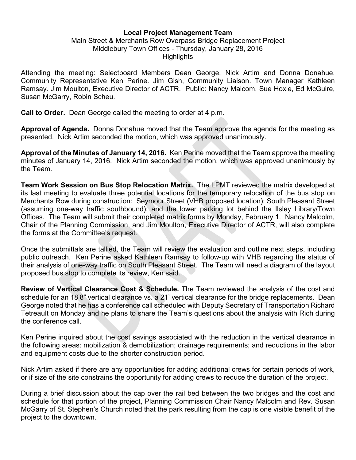## Local Project Management Team

## Main Street & Merchants Row Overpass Bridge Replacement Project Middlebury Town Offices - Thursday, January 28, 2016 **Highlights**

Attending the meeting: Selectboard Members Dean George, Nick Artim and Donna Donahue. Community Representative Ken Perine. Jim Gish, Community Liaison. Town Manager Kathleen Ramsay. Jim Moulton, Executive Director of ACTR. Public: Nancy Malcom, Sue Hoxie, Ed McGuire, Susan McGarry, Robin Scheu.

**Call to Order.** Dean George called the meeting to order at 4 p.m.

Approval of Agenda. Donna Donahue moved that the Team approve the agenda for the meeting as presented. Nick Artim seconded the motion, which was approved unanimously.

Approval of the Minutes of January 14, 2016. Ken Perine moved that the Team approve the meeting minutes of January 14, 2016. Nick Artim seconded the motion, which was approved unanimously by the Team.

Team Work Session on Bus Stop Relocation Matrix. The LPMT reviewed the matrix developed at its last meeting to evaluate three potential locations for the temporary relocation of the bus stop on Merchants Row during construction: Seymour Street (VHB proposed location); South Pleasant Street (assuming one-way traffic southbound); and the lower parking lot behind the Ilsley Library/Town Offices. The Team will submit their completed matrix forms by Monday, February 1. Nancy Malcolm, Chair of the Planning Commission, and Jim Moulton, Executive Director of ACTR, will also complete the forms at the Committee's request.

Once the submittals are tallied, the Team will review the evaluation and outline next steps, including public outreach. Ken Perine asked Kathleen Ramsay to follow-up with VHB regarding the status of their analysis of one-way traffic on South Pleasant Street. The Team will need a diagram of the layout proposed bus stop to complete its review, Ken said.

Review of Vertical Clearance Cost & Schedule. The Team reviewed the analysis of the cost and schedule for an 18'8" vertical clearance vs. a 21' vertical clearance for the bridge replacements. Dean George noted that he has a conference call scheduled with Deputy Secretary of Transportation Richard Tetreault on Monday and he plans to share the Team's questions about the analysis with Rich during the conference call.

Ken Perine inquired about the cost savings associated with the reduction in the vertical clearance in the following areas: mobilization & demobilization; drainage requirements; and reductions in the labor and equipment costs due to the shorter construction period.

Nick Artim asked if there are any opportunities for adding additional crews for certain periods of work, or if size of the site constrains the opportunity for adding crews to reduce the duration of the project.

During a brief discussion about the cap over the rail bed between the two bridges and the cost and schedule for that portion of the project, Planning Commission Chair Nancy Malcolm and Rev. Susan McGarry of St. Stephen's Church noted that the park resulting from the cap is one visible benefit of the project to the downtown.